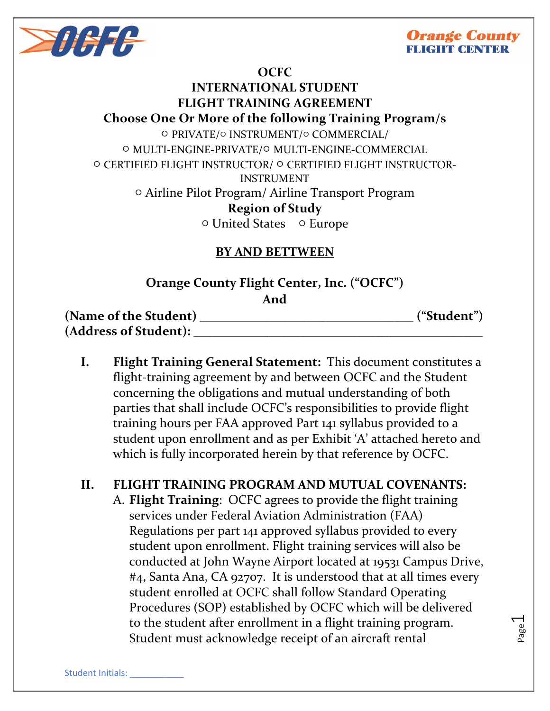

## **Orange County CHT CENTER**

### **OCFC**

# **INTERNATIONAL STUDENT FLIGHT TRAINING AGREEMENT Choose One Or More of the following Training Program/s** ○ PRIVATE/○ INSTRUMENT/○ COMMERCIAL/ ○ MULTI-ENGINE-PRIVATE/○ MULTI-ENGINE-COMMERCIAL ○ CERTIFIED FLIGHT INSTRUCTOR/ ○ CERTIFIED FLIGHT INSTRUCTOR-INSTRUMENT ○ Airline Pilot Program/ Airline Transport Program **Region of Study** ○ United States ○ Europe

# **BY AND BETTWEEN**

# **Orange County Flight Center, Inc. ("OCFC") And**

**(Name of the Student) \_\_\_\_\_\_\_\_\_\_\_\_\_\_\_\_\_\_\_\_\_\_\_\_\_\_\_\_\_\_\_\_\_\_ ("Student") (Address of Student): \_\_\_\_\_\_\_\_\_\_\_\_\_\_\_\_\_\_\_\_\_\_\_\_\_\_\_\_\_\_\_\_\_\_\_\_\_\_\_\_\_\_\_\_\_\_**

**I. Flight Training General Statement:** This document constitutes a flight-training agreement by and between OCFC and the Student concerning the obligations and mutual understanding of both parties that shall include OCFC's responsibilities to provide flight training hours per FAA approved Part 141 syllabus provided to a student upon enrollment and as per Exhibit 'A' attached hereto and which is fully incorporated herein by that reference by OCFC.

# **II. FLIGHT TRAINING PROGRAM AND MUTUAL COVENANTS:** A. **Flight Training**: OCFC agrees to provide the flight training services under Federal Aviation Administration (FAA) Regulations per part 141 approved syllabus provided to every student upon enrollment. Flight training services will also be conducted at John Wayne Airport located at 19531 Campus Drive, #4, Santa Ana, CA 92707. It is understood that at all times every

student enrolled at OCFC shall follow Standard Operating Procedures (SOP) established by OCFC which will be delivered to the student after enrollment in a flight training program. Student must acknowledge receipt of an aircraft rental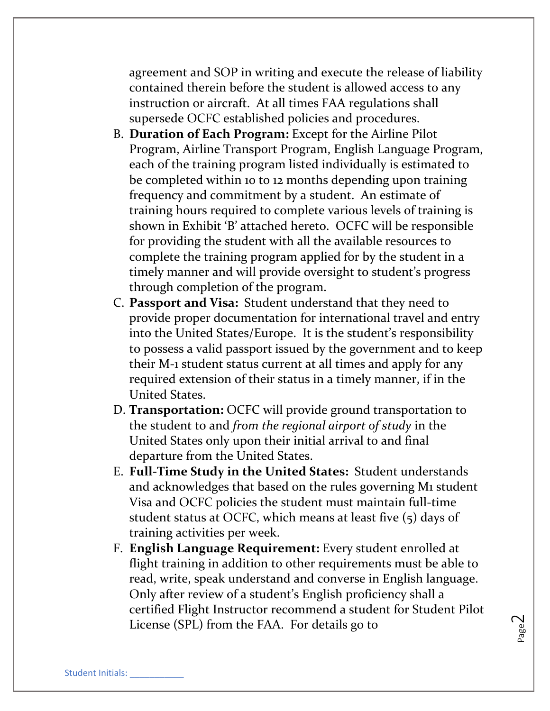agreement and SOP in writing and execute the release of liability contained therein before the student is allowed access to any instruction or aircraft. At all times FAA regulations shall supersede OCFC established policies and procedures.

- B. **Duration of Each Program:** Except for the Airline Pilot Program, Airline Transport Program, English Language Program, each of the training program listed individually is estimated to be completed within 10 to 12 months depending upon training frequency and commitment by a student. An estimate of training hours required to complete various levels of training is shown in Exhibit 'B' attached hereto. OCFC will be responsible for providing the student with all the available resources to complete the training program applied for by the student in a timely manner and will provide oversight to student's progress through completion of the program.
- C. **Passport and Visa:** Student understand that they need to provide proper documentation for international travel and entry into the United States/Europe. It is the student's responsibility to possess a valid passport issued by the government and to keep their M-1 student status current at all times and apply for any required extension of their status in a timely manner, if in the United States.
- D. **Transportation:** OCFC will provide ground transportation to the student to and *from the regional airport of study* in the United States only upon their initial arrival to and final departure from the United States.
- E. **Full-Time Study in the United States:** Student understands and acknowledges that based on the rules governing M1 student Visa and OCFC policies the student must maintain full-time student status at OCFC, which means at least five (5) days of training activities per week.
- F. **English Language Requirement:** Every student enrolled at flight training in addition to other requirements must be able to read, write, speak understand and converse in English language. Only after review of a student's English proficiency shall a certified Flight Instructor recommend a student for Student Pilot License (SPL) from the FAA. For details go to

Page  $\mathbf{\sim}$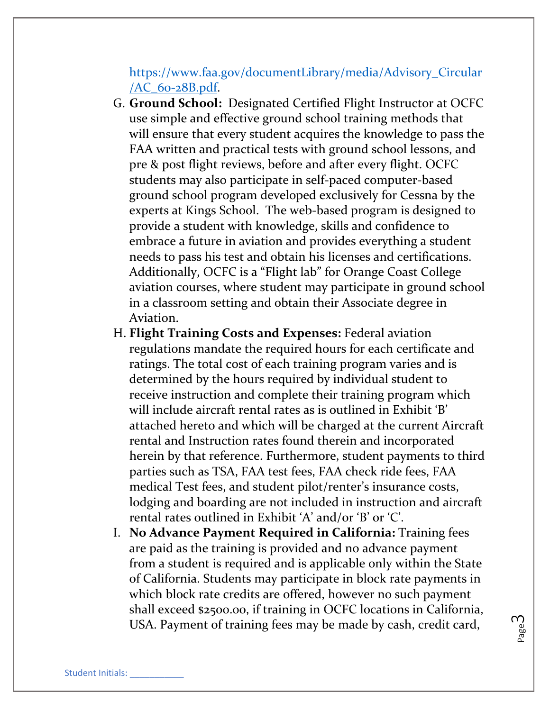## [https://www.faa.gov/documentLibrary/media/Advisory\\_Circular](https://www.faa.gov/documentLibrary/media/Advisory_Circular/AC_60-28B.pdf) /AC\_60-[28B.pdf.](https://www.faa.gov/documentLibrary/media/Advisory_Circular/AC_60-28B.pdf)

- G. **Ground School:** Designated Certified Flight Instructor at OCFC use simple and effective ground school training methods that will ensure that every student acquires the knowledge to pass the FAA written and practical tests with ground school lessons, and pre & post flight reviews, before and after every flight. OCFC students may also participate in self-paced computer-based ground school program developed exclusively for Cessna by the experts at Kings School. The web-based program is designed to provide a student with knowledge, skills and confidence to embrace a future in aviation and provides everything a student needs to pass his test and obtain his licenses and certifications. Additionally, OCFC is a "Flight lab" for Orange Coast College aviation courses, where student may participate in ground school in a classroom setting and obtain their Associate degree in Aviation.
- H. **Flight Training Costs and Expenses:** Federal aviation regulations mandate the required hours for each certificate and ratings. The total cost of each training program varies and is determined by the hours required by individual student to receive instruction and complete their training program which will include aircraft rental rates as is outlined in Exhibit 'B' attached hereto and which will be charged at the current Aircraft rental and Instruction rates found therein and incorporated herein by that reference. Furthermore, student payments to third parties such as TSA, FAA test fees, FAA check ride fees, FAA medical Test fees, and student pilot/renter's insurance costs, lodging and boarding are not included in instruction and aircraft rental rates outlined in Exhibit 'A' and/or 'B' or 'C'.
- I. **No Advance Payment Required in California:** Training fees are paid as the training is provided and no advance payment from a student is required and is applicable only within the State of California. Students may participate in block rate payments in which block rate credits are offered, however no such payment shall exceed \$2500.00, if training in OCFC locations in California, USA. Payment of training fees may be made by cash, credit card,

Page ო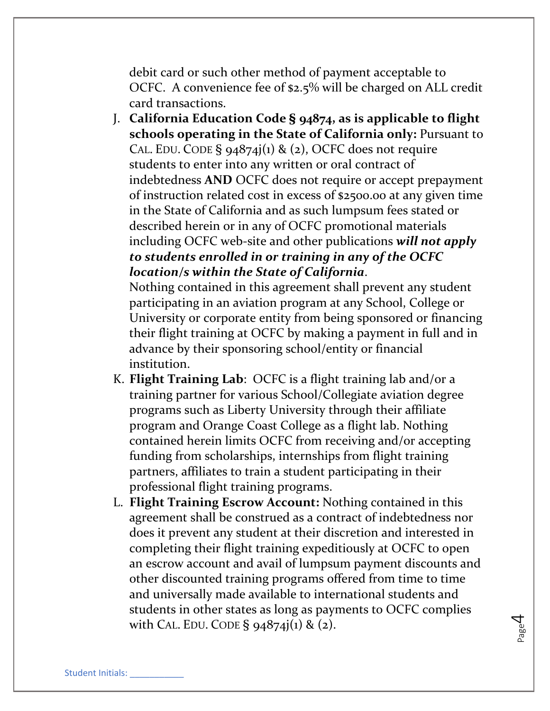debit card or such other method of payment acceptable to OCFC. A convenience fee of \$2.5% will be charged on ALL credit card transactions.

J. **California Education Code § 94874, as is applicable to flight schools operating in the State of California only:** Pursuant to CAL. EDU. CODE §  $94874j(1)$  & (2), OCFC does not require students to enter into any written or oral contract of indebtedness **AND** OCFC does not require or accept prepayment of instruction related cost in excess of \$2500.00 at any given time in the State of California and as such lumpsum fees stated or described herein or in any of OCFC promotional materials including OCFC web-site and other publications *will not apply to students enrolled in or training in any of the OCFC location/s within the State of California*.

Nothing contained in this agreement shall prevent any student participating in an aviation program at any School, College or University or corporate entity from being sponsored or financing their flight training at OCFC by making a payment in full and in advance by their sponsoring school/entity or financial institution.

- K. **Flight Training Lab**: OCFC is a flight training lab and/or a training partner for various School/Collegiate aviation degree programs such as Liberty University through their affiliate program and Orange Coast College as a flight lab. Nothing contained herein limits OCFC from receiving and/or accepting funding from scholarships, internships from flight training partners, affiliates to train a student participating in their professional flight training programs.
- L. **Flight Training Escrow Account:** Nothing contained in this agreement shall be construed as a contract of indebtedness nor does it prevent any student at their discretion and interested in completing their flight training expeditiously at OCFC to open an escrow account and avail of lumpsum payment discounts and other discounted training programs offered from time to time and universally made available to international students and students in other states as long as payments to OCFC complies with CAL. EDU. CODE  $\S$  94874 $j(1)$  & (2).

Page  $\overline{\mathcal{A}}$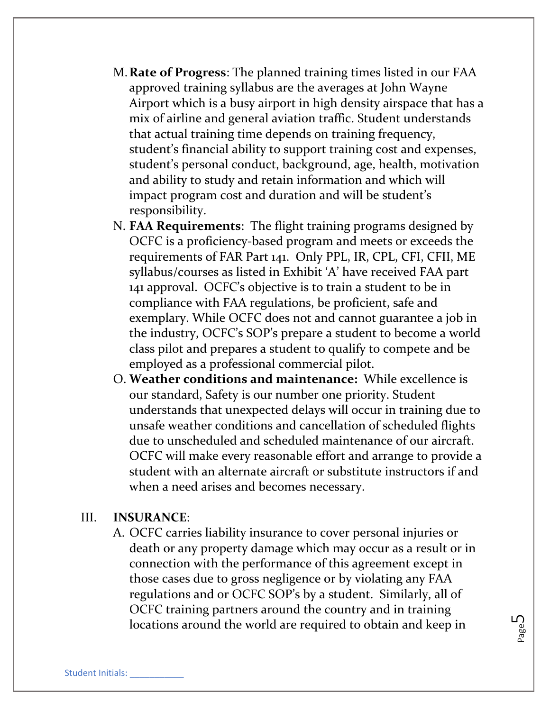- M.**Rate of Progress**: The planned training times listed in our FAA approved training syllabus are the averages at John Wayne Airport which is a busy airport in high density airspace that has a mix of airline and general aviation traffic. Student understands that actual training time depends on training frequency, student's financial ability to support training cost and expenses, student's personal conduct, background, age, health, motivation and ability to study and retain information and which will impact program cost and duration and will be student's responsibility.
- N. **FAA Requirements**: The flight training programs designed by OCFC is a proficiency-based program and meets or exceeds the requirements of FAR Part 141. Only PPL, IR, CPL, CFI, CFII, ME syllabus/courses as listed in Exhibit 'A' have received FAA part 141 approval. OCFC's objective is to train a student to be in compliance with FAA regulations, be proficient, safe and exemplary. While OCFC does not and cannot guarantee a job in the industry, OCFC's SOP's prepare a student to become a world class pilot and prepares a student to qualify to compete and be employed as a professional commercial pilot.
- O. **Weather conditions and maintenance:** While excellence is our standard, Safety is our number one priority. Student understands that unexpected delays will occur in training due to unsafe weather conditions and cancellation of scheduled flights due to unscheduled and scheduled maintenance of our aircraft. OCFC will make every reasonable effort and arrange to provide a student with an alternate aircraft or substitute instructors if and when a need arises and becomes necessary.

#### III. **INSURANCE**:

A. OCFC carries liability insurance to cover personal injuries or death or any property damage which may occur as a result or in connection with the performance of this agreement except in those cases due to gross negligence or by violating any FAA regulations and or OCFC SOP's by a student. Similarly, all of OCFC training partners around the country and in training locations around the world are required to obtain and keep in

Page ഥ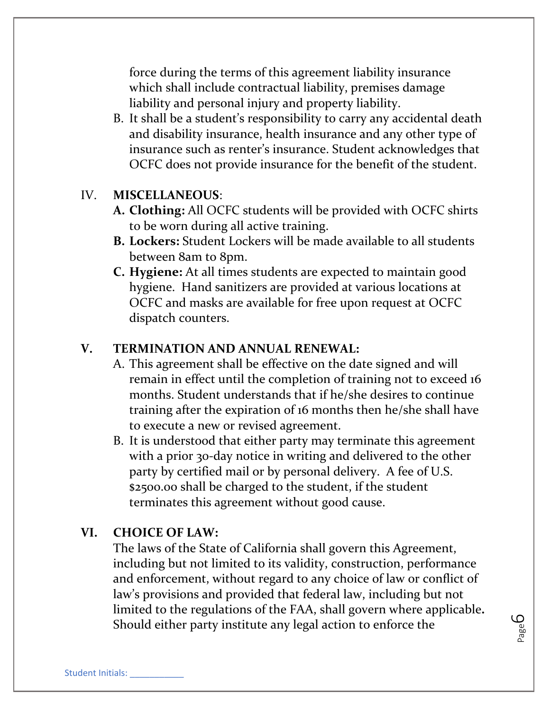force during the terms of this agreement liability insurance which shall include contractual liability, premises damage liability and personal injury and property liability.

B. It shall be a student's responsibility to carry any accidental death and disability insurance, health insurance and any other type of insurance such as renter's insurance. Student acknowledges that OCFC does not provide insurance for the benefit of the student.

#### IV. **MISCELLANEOUS**:

- **A. Clothing:** All OCFC students will be provided with OCFC shirts to be worn during all active training.
- **B. Lockers:** Student Lockers will be made available to all students between 8am to 8pm.
- **C. Hygiene:** At all times students are expected to maintain good hygiene. Hand sanitizers are provided at various locations at OCFC and masks are available for free upon request at OCFC dispatch counters.

### **V. TERMINATION AND ANNUAL RENEWAL:**

- A. This agreement shall be effective on the date signed and will remain in effect until the completion of training not to exceed 16 months. Student understands that if he/she desires to continue training after the expiration of 16 months then he/she shall have to execute a new or revised agreement.
- B. It is understood that either party may terminate this agreement with a prior 30-day notice in writing and delivered to the other party by certified mail or by personal delivery. A fee of U.S. \$2500.00 shall be charged to the student, if the student terminates this agreement without good cause.

#### **VI. CHOICE OF LAW:**

The laws of the State of California shall govern this Agreement, including but not limited to its validity, construction, performance and enforcement, without regard to any choice of law or conflict of law's provisions and provided that federal law, including but not limited to the regulations of the FAA, shall govern where applicable**.**  Should either party institute any legal action to enforce the

Page 6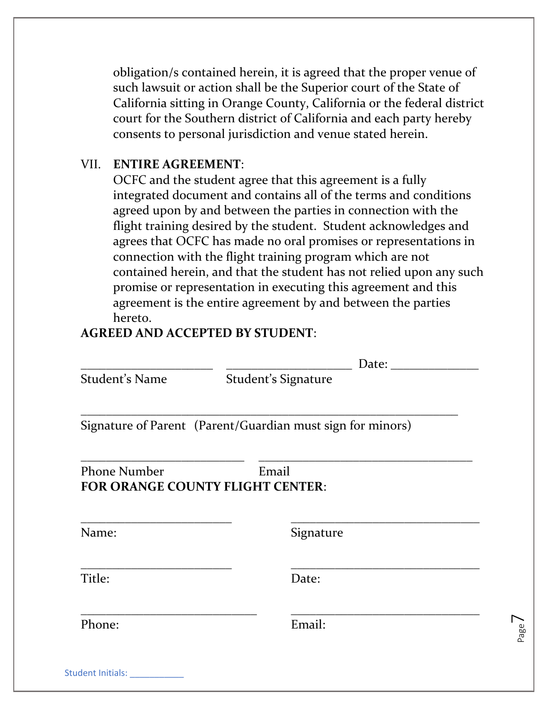obligation/s contained herein, it is agreed that the proper venue of such lawsuit or action shall be the Superior court of the State of California sitting in Orange County, California or the federal district court for the Southern district of California and each party hereby consents to personal jurisdiction and venue stated herein.

#### VII. **ENTIRE AGREEMENT**:

OCFC and the student agree that this agreement is a fully integrated document and contains all of the terms and conditions agreed upon by and between the parties in connection with the flight training desired by the student. Student acknowledges and agrees that OCFC has made no oral promises or representations in connection with the flight training program which are not contained herein, and that the student has not relied upon any such promise or representation in executing this agreement and this agreement is the entire agreement by and between the parties hereto.

### **AGREED AND ACCEPTED BY STUDENT**:

|                     | Date:                                                      |
|---------------------|------------------------------------------------------------|
| Student's Name      | Student's Signature                                        |
|                     | Signature of Parent (Parent/Guardian must sign for minors) |
| <b>Phone Number</b> | Email                                                      |
|                     | <b>FOR ORANGE COUNTY FLIGHT CENTER:</b>                    |
| Name:               | Signature                                                  |
| Title:              | Date:                                                      |

Page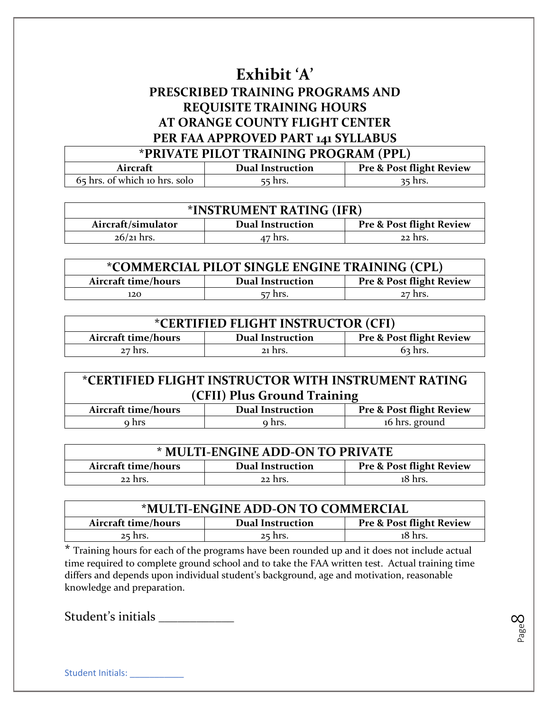# **Exhibit 'A' PRESCRIBED TRAINING PROGRAMS AND REQUISITE TRAINING HOURS AT ORANGE COUNTY FLIGHT CENTER PER FAA APPROVED PART 141 SYLLABUS**

| *PRIVATE PILOT TRAINING PROGRAM (PPL)                                      |         |           |
|----------------------------------------------------------------------------|---------|-----------|
| <b>Pre &amp; Post flight Review</b><br><b>Dual Instruction</b><br>Aircraft |         |           |
| 65 hrs. of which 10 hrs. solo                                              | 55 hrs. | $35$ hrs. |

| *INSTRUMENT RATING (IFR)                                                             |  |  |  |
|--------------------------------------------------------------------------------------|--|--|--|
| <b>Pre &amp; Post flight Review</b><br>Aircraft/simulator<br><b>Dual Instruction</b> |  |  |  |
| $26/21$ hrs.<br>22 hrs.<br>47 hrs.                                                   |  |  |  |

| *COMMERCIAL PILOT SINGLE ENGINE TRAINING (CPL)                                        |                    |  |  |
|---------------------------------------------------------------------------------------|--------------------|--|--|
| Aircraft time/hours<br><b>Pre &amp; Post flight Review</b><br><b>Dual Instruction</b> |                    |  |  |
| 120                                                                                   | 57 hrs.<br>27 hrs. |  |  |

| <i>*CERTIFIED FLIGHT INSTRUCTOR (CFI)</i>                                             |  |  |  |
|---------------------------------------------------------------------------------------|--|--|--|
| <b>Pre &amp; Post flight Review</b><br>Aircraft time/hours<br><b>Dual Instruction</b> |  |  |  |
| $63$ hrs.<br>21 hrs.<br>27 hrs.                                                       |  |  |  |

| *CERTIFIED FLIGHT INSTRUCTOR WITH INSTRUMENT RATING                                   |  |  |  |
|---------------------------------------------------------------------------------------|--|--|--|
| (CFII) Plus Ground Training                                                           |  |  |  |
| <b>Pre &amp; Post flight Review</b><br>Aircraft time/hours<br><b>Dual Instruction</b> |  |  |  |
| 16 hrs. ground<br>o hrs.<br>9 hrs                                                     |  |  |  |

| * MULTI-ENGINE ADD-ON TO PRIVATE                                                      |  |  |  |
|---------------------------------------------------------------------------------------|--|--|--|
| <b>Pre &amp; Post flight Review</b><br>Aircraft time/hours<br><b>Dual Instruction</b> |  |  |  |
| 18 hrs.<br>22 hrs.<br>22 hrs.                                                         |  |  |  |

| *MULTI-ENGINE ADD-ON TO COMMERCIAL                                                    |  |  |  |
|---------------------------------------------------------------------------------------|--|--|--|
| <b>Pre &amp; Post flight Review</b><br>Aircraft time/hours<br><b>Dual Instruction</b> |  |  |  |
| 18 hrs.<br>$25$ hrs.<br>25 hrs.                                                       |  |  |  |

**\*** Training hours for each of the programs have been rounded up and it does not include actual time required to complete ground school and to take the FAA written test. Actual training time differs and depends upon individual student's background, age and motivation, reasonable knowledge and preparation.

Student's initials \_\_\_\_\_\_\_\_\_\_\_\_

Page  $\infty$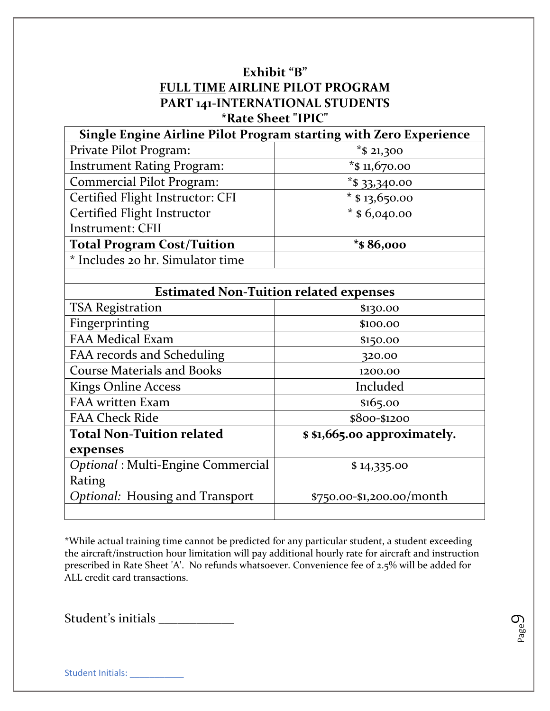## **Exhibit "B" FULL TIME AIRLINE PILOT PROGRAM PART 141-INTERNATIONAL STUDENTS \*Rate Sheet "IPIC"**

| Single Engine Airline Pilot Program starting with Zero Experience |                                               |  |
|-------------------------------------------------------------------|-----------------------------------------------|--|
| Private Pilot Program:                                            | $*$ \$ 21,300                                 |  |
| <b>Instrument Rating Program:</b>                                 | * $$11,670.00$                                |  |
| <b>Commercial Pilot Program:</b>                                  | $*$ \$ 33,340.00                              |  |
| Certified Flight Instructor: CFI                                  | * $$13,650.00$                                |  |
| Certified Flight Instructor                                       | $*$ \$6,040.00                                |  |
| <b>Instrument: CFII</b>                                           |                                               |  |
| <b>Total Program Cost/Tuition</b>                                 | * $$86,000$                                   |  |
| * Includes 20 hr. Simulator time                                  |                                               |  |
|                                                                   |                                               |  |
|                                                                   | <b>Estimated Non-Tuition related expenses</b> |  |
| <b>TSA Registration</b>                                           | \$130.00                                      |  |
| Fingerprinting                                                    | \$100.00                                      |  |
| <b>FAA Medical Exam</b>                                           | \$150.00                                      |  |
| FAA records and Scheduling                                        | 320.00                                        |  |
| <b>Course Materials and Books</b>                                 | 1200.00                                       |  |
| <b>Kings Online Access</b>                                        | Included                                      |  |
| FAA written Exam                                                  | \$165.00                                      |  |
| <b>FAA Check Ride</b>                                             | \$800-\$1200                                  |  |
| <b>Total Non-Tuition related</b>                                  | \$ \$1,665.00 approximately.                  |  |
| expenses                                                          |                                               |  |
| Optional: Multi-Engine Commercial                                 | \$14,335.00                                   |  |
| Rating                                                            |                                               |  |
| Optional: Housing and Transport                                   | \$750.00-\$1,200.00/month                     |  |
|                                                                   |                                               |  |

\*While actual training time cannot be predicted for any particular student, a student exceeding the aircraft/instruction hour limitation will pay additional hourly rate for aircraft and instruction prescribed in Rate Sheet 'A'. No refunds whatsoever. Convenience fee of 2.5% will be added for ALL credit card transactions.

Student's initials \_\_\_\_\_\_\_\_\_\_\_\_\_\_

Page  $\mathcal{O}_2$ 

Student Initials: \_\_\_\_\_\_\_\_\_\_\_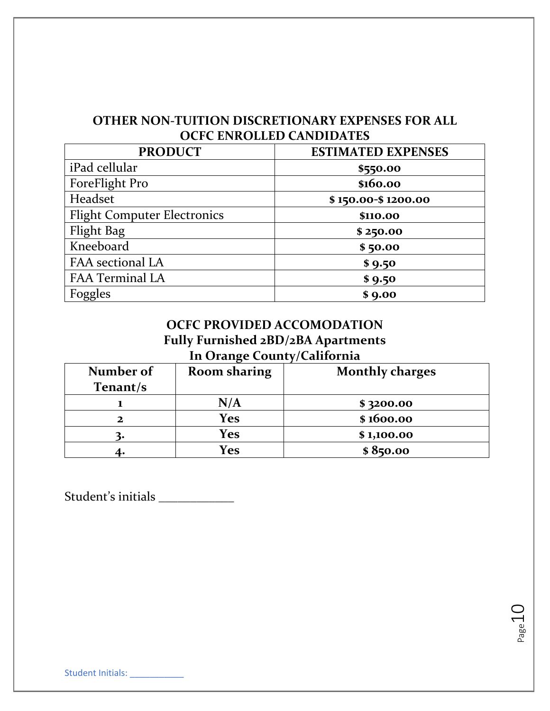## **OTHER NON-TUITION DISCRETIONARY EXPENSES FOR ALL OCFC ENROLLED CANDIDATES**

| <b>PRODUCT</b>                     | <b>ESTIMATED EXPENSES</b> |
|------------------------------------|---------------------------|
| iPad cellular                      | \$550.00                  |
| ForeFlight Pro                     | \$160.00                  |
| Headset                            | \$150.00-\$1200.00        |
| <b>Flight Computer Electronics</b> | \$110.00                  |
| Flight Bag                         | \$250.00                  |
| Kneeboard                          | \$50.00                   |
| FAA sectional LA                   | \$9.50                    |
| <b>FAA Terminal LA</b>             | \$9.50                    |
| Foggles                            | \$9.00                    |

## **OCFC PROVIDED ACCOMODATION Fully Furnished 2BD/2BA Apartments In Orange County/California**

| Number of | <b>Room sharing</b>     | <b>Monthly charges</b> |
|-----------|-------------------------|------------------------|
| Tenant/s  |                         |                        |
|           | $\mathbf{N}/\mathbf{A}$ | \$3200.00              |
|           | <b>Yes</b>              | \$1600.00              |
|           | Yes                     | \$1,100.00             |
|           | <b>Yes</b>              | \$850.00               |

Page10

Student's initials \_\_\_\_\_\_\_\_\_\_\_\_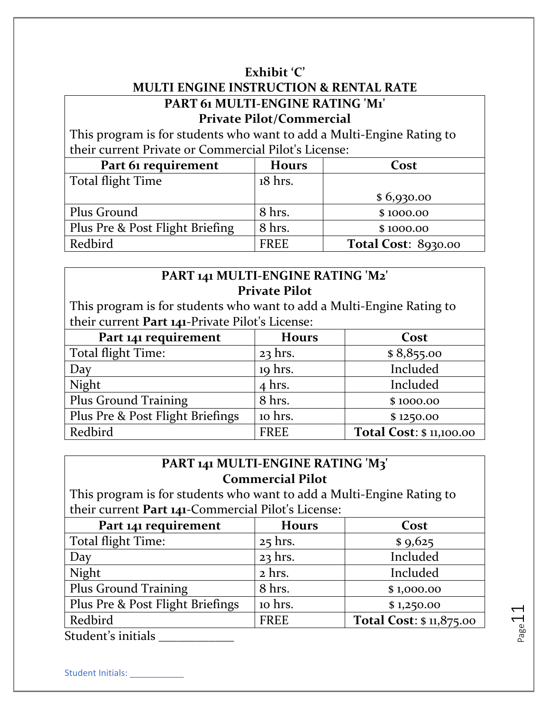### **Exhibit 'C'**

# **MULTI ENGINE INSTRUCTION & RENTAL RATE PART 61 MULTI-ENGINE RATING 'M1' Private Pilot/Commercial**

This program is for students who want to add a Multi-Engine Rating to their current Private or Commercial Pilot's License:

| Part 61 requirement             | <b>Hours</b> | Cost                       |
|---------------------------------|--------------|----------------------------|
| Total flight Time               | 18 hrs.      |                            |
|                                 |              | \$6,930.00                 |
| Plus Ground                     | 8 hrs.       | \$1000.00                  |
| Plus Pre & Post Flight Briefing | 8 hrs.       | \$1000.00                  |
| Redbird                         | <b>FREE</b>  | <b>Total Cost: 8930.00</b> |

# **PART 141 MULTI-ENGINE RATING 'M2' Private Pilot**

This program is for students who want to add a Multi-Engine Rating to their current **Part 141**-Private Pilot's License:

| Part 141 requirement             | <b>Hours</b> | Cost                     |
|----------------------------------|--------------|--------------------------|
| Total flight Time:               | $23$ hrs.    | \$8,855.00               |
| Day                              | 19 hrs.      | Included                 |
| Night                            | $4$ hrs.     | Included                 |
| Plus Ground Training             | 8 hrs.       | \$1000.00                |
| Plus Pre & Post Flight Briefings | 10 hrs.      | \$1250.00                |
| Redbird                          | <b>FREE</b>  | Total Cost: \$ 11,100.00 |

# **PART 141 MULTI-ENGINE RATING 'M3' Commercial Pilot**

This program is for students who want to add a Multi-Engine Rating to their current **Part 141**-Commercial Pilot's License:

| Part 141 requirement             | <b>Hours</b> | Cost                    |
|----------------------------------|--------------|-------------------------|
| Total flight Time:               | $25$ hrs.    | \$9,625                 |
| Day                              | $23$ hrs.    | Included                |
| Night                            | 2 hrs.       | Included                |
| <b>Plus Ground Training</b>      | 8 hrs.       | \$1,000.00              |
| Plus Pre & Post Flight Briefings | 10 hrs.      | \$1,250.00              |
| Redbird                          | <b>FREE</b>  | Total Cost: \$11,875.00 |
| $C_{\text{tridont}}'$ a initiala |              |                         |

Student's initials \_\_\_\_\_\_\_\_\_

Student Initials:

 $P_{\text{age}}$